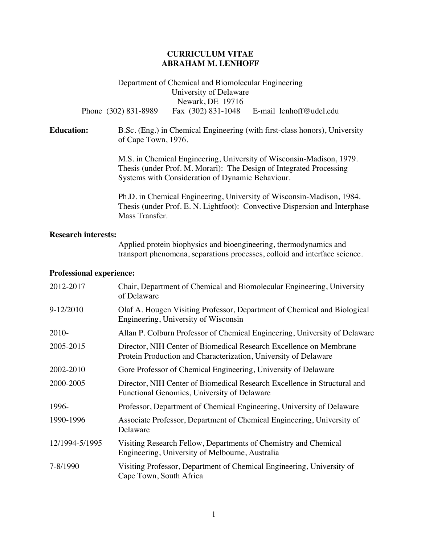## **CURRICULUM VITAE ABRAHAM M. LENHOFF**

Department of Chemical and Biomolecular Engineering University of Delaware Newark, DE 19716 Phone (302) 831-8989Fax (302) 831-1048E-mail lenhoff@udel.edu

**Education:** B.Sc. (Eng.) in Chemical Engineering (with first-class honors), University of Cape Town, 1976.

> M.S. in Chemical Engineering, University of Wisconsin-Madison, 1979. Thesis (under Prof. M. Morari): The Design of Integrated Processing Systems with Consideration of Dynamic Behaviour.

Ph.D. in Chemical Engineering, University of Wisconsin-Madison, 1984. Thesis (under Prof. E. N. Lightfoot): Convective Dispersion and Interphase Mass Transfer.

### **Research interests:**

Applied protein biophysics and bioengineering, thermodynamics and transport phenomena, separations processes, colloid and interface science.

#### **Professional experience:**

| 2012-2017      | Chair, Department of Chemical and Biomolecular Engineering, University<br>of Delaware                                                 |
|----------------|---------------------------------------------------------------------------------------------------------------------------------------|
| $9-12/2010$    | Olaf A. Hougen Visiting Professor, Department of Chemical and Biological<br>Engineering, University of Wisconsin                      |
| $2010-$        | Allan P. Colburn Professor of Chemical Engineering, University of Delaware                                                            |
| 2005-2015      | Director, NIH Center of Biomedical Research Excellence on Membrane<br>Protein Production and Characterization, University of Delaware |
| 2002-2010      | Gore Professor of Chemical Engineering, University of Delaware                                                                        |
| 2000-2005      | Director, NIH Center of Biomedical Research Excellence in Structural and<br>Functional Genomics, University of Delaware               |
| 1996-          | Professor, Department of Chemical Engineering, University of Delaware                                                                 |
| 1990-1996      | Associate Professor, Department of Chemical Engineering, University of<br>Delaware                                                    |
| 12/1994-5/1995 | Visiting Research Fellow, Departments of Chemistry and Chemical<br>Engineering, University of Melbourne, Australia                    |
| 7-8/1990       | Visiting Professor, Department of Chemical Engineering, University of<br>Cape Town, South Africa                                      |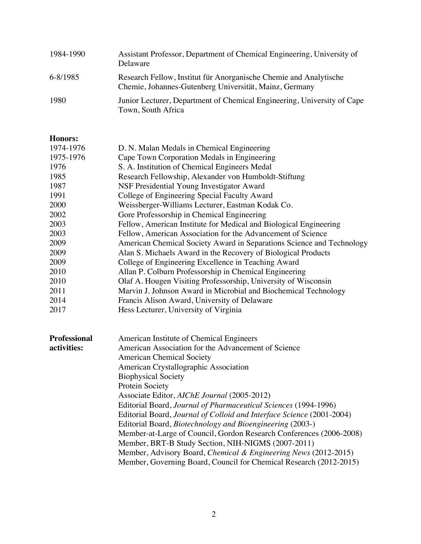| 1984-1990 | Assistant Professor, Department of Chemical Engineering, University of<br>Delaware                                          |
|-----------|-----------------------------------------------------------------------------------------------------------------------------|
| 6-8/1985  | Research Fellow, Institut für Anorganische Chemie and Analytische<br>Chemie, Johannes-Gutenberg Universität, Mainz, Germany |
| 1980      | Junior Lecturer, Department of Chemical Engineering, University of Cape<br>Town, South Africa                               |

# **Honors:**

| 1974-1976 | D. N. Malan Medals in Chemical Engineering                            |
|-----------|-----------------------------------------------------------------------|
| 1975-1976 | Cape Town Corporation Medals in Engineering                           |
| 1976      | S. A. Institution of Chemical Engineers Medal                         |
| 1985      | Research Fellowship, Alexander von Humboldt-Stiftung                  |
| 1987      | NSF Presidential Young Investigator Award                             |
| 1991      | College of Engineering Special Faculty Award                          |
| 2000      | Weissberger-Williams Lecturer, Eastman Kodak Co.                      |
| 2002      | Gore Professorship in Chemical Engineering                            |
| 2003      | Fellow, American Institute for Medical and Biological Engineering     |
| 2003      | Fellow, American Association for the Advancement of Science           |
| 2009      | American Chemical Society Award in Separations Science and Technology |
| 2009      | Alan S. Michaels Award in the Recovery of Biological Products         |
| 2009      | College of Engineering Excellence in Teaching Award                   |
| 2010      | Allan P. Colburn Professorship in Chemical Engineering                |
| 2010      | Olaf A. Hougen Visiting Professorship, University of Wisconsin        |
| 2011      | Marvin J. Johnson Award in Microbial and Biochemical Technology       |
| 2014      | Francis Alison Award, University of Delaware                          |
| 2017      | Hess Lecturer, University of Virginia                                 |
|           |                                                                       |

| <b>Professional</b> | American Institute of Chemical Engineers                              |
|---------------------|-----------------------------------------------------------------------|
| activities:         | American Association for the Advancement of Science                   |
|                     | <b>American Chemical Society</b>                                      |
|                     | American Crystallographic Association                                 |
|                     | <b>Biophysical Society</b>                                            |
|                     | Protein Society                                                       |
|                     | Associate Editor, AIChE Journal (2005-2012)                           |
|                     | Editorial Board, Journal of Pharmaceutical Sciences (1994-1996)       |
|                     | Editorial Board, Journal of Colloid and Interface Science (2001-2004) |
|                     | Editorial Board, <i>Biotechnology and Bioengineering</i> (2003-)      |
|                     | Member-at-Large of Council, Gordon Research Conferences (2006-2008)   |
|                     | Member, BRT-B Study Section, NIH-NIGMS (2007-2011)                    |
|                     | Member, Advisory Board, Chemical & Engineering News (2012-2015)       |
|                     | Member, Governing Board, Council for Chemical Research (2012-2015)    |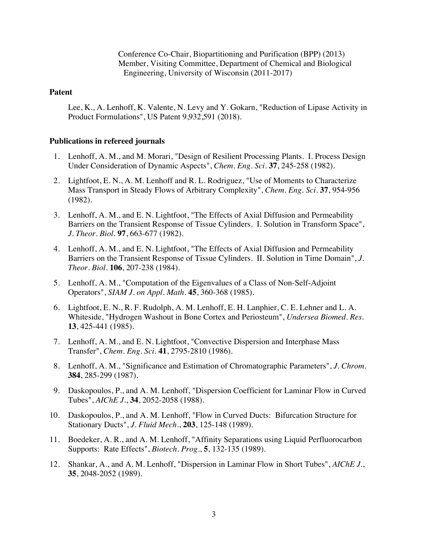Conference Co-Chair, Biopartitioning and Purification (BPP) (2013) Member, Visiting Committee, Department of Chemical and Biological Engineering, University of Wisconsin (2011-2017)

### **Patent**

 Lee, K., A. Lenhoff, K. Valente, N. Levy and Y. Gokarn, "Reduction of Lipase Activity in Product Formulations", US Patent 9,932,591 (2018).

### **Publications in refereed journals**

- 1. Lenhoff, A. M., and M. Morari, "Design of Resilient Processing Plants. I. Process Design Under Consideration of Dynamic Aspects", *Chem. Eng. Sci.* **37**, 245-258 (1982).
- 2. Lightfoot, E. N., A. M. Lenhoff and R. L. Rodriguez, "Use of Moments to Characterize Mass Transport in Steady Flows of Arbitrary Complexity", *Chem. Eng. Sci.* **37**, 954-956 (1982).
- 3. Lenhoff, A. M., and E. N. Lightfoot, "The Effects of Axial Diffusion and Permeability Barriers on the Transient Response of Tissue Cylinders. I. Solution in Transform Space", *J. Theor. Biol*. **97**, 663-677 (1982).
- 4. Lenhoff, A. M., and E. N. Lightfoot, "The Effects of Axial Diffusion and Permeability Barriers on the Transient Response of Tissue Cylinders. II. Solution in Time Domain", *J. Theor. Biol*. **106**, 207-238 (1984).
- 5. Lenhoff, A. M., "Computation of the Eigenvalues of a Class of Non-Self-Adjoint Operators", *SIAM J. on Appl. Math*. **45**, 360-368 (1985).
- 6. Lightfoot, E. N., R. F. Rudolph, A. M. Lenhoff, E. H. Lanphier, C. E. Lehner and L. A. Whiteside, "Hydrogen Washout in Bone Cortex and Periosteum", *Undersea Biomed. Res*. **13**, 425-441 (1985).
- 7. Lenhoff, A. M., and E. N. Lightfoot, "Convective Dispersion and Interphase Mass Transfer", *Chem. Eng. Sci*. **41**, 2795-2810 (1986).
- 8. Lenhoff, A. M., "Significance and Estimation of Chromatographic Parameters", *J. Chrom.* **384**, 285-299 (1987).
- 9. Daskopoulos, P., and A. M. Lenhoff, "Dispersion Coefficient for Laminar Flow in Curved Tubes", *AIChE J.*, **34**, 2052-2058 (1988).
- 10. Daskopoulos, P., and A. M. Lenhoff, "Flow in Curved Ducts: Bifurcation Structure for Stationary Ducts", *J. Fluid Mech.*, **203**, 125-148 (1989).
- 11. Boedeker, A. R., and A. M. Lenhoff, "Affinity Separations using Liquid Perfluorocarbon Supports: Rate Effects", *Biotech. Prog*., **5**, 132-135 (1989).
- 12. Shankar, A., and A. M. Lenhoff, "Dispersion in Laminar Flow in Short Tubes", *AIChE J*., **35**, 2048-2052 (1989).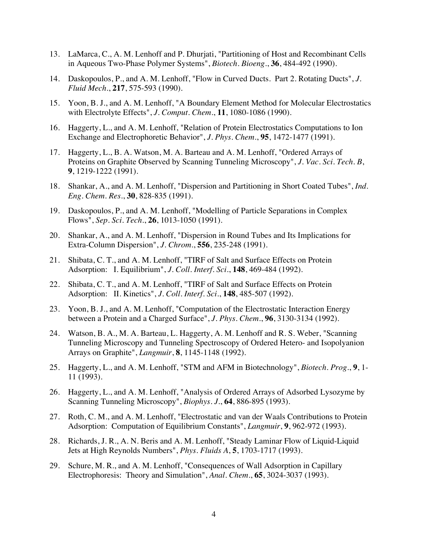- 13. LaMarca, C., A. M. Lenhoff and P. Dhurjati, "Partitioning of Host and Recombinant Cells in Aqueous Two-Phase Polymer Systems", *Biotech. Bioeng*., **36**, 484-492 (1990).
- 14. Daskopoulos, P., and A. M. Lenhoff, "Flow in Curved Ducts. Part 2. Rotating Ducts", *J. Fluid Mech.*, **217**, 575-593 (1990).
- 15. Yoon, B. J., and A. M. Lenhoff, "A Boundary Element Method for Molecular Electrostatics with Electrolyte Effects", *J. Comput. Chem.*, **11**, 1080-1086 (1990).
- 16. Haggerty, L., and A. M. Lenhoff, "Relation of Protein Electrostatics Computations to Ion Exchange and Electrophoretic Behavior", *J. Phys. Chem.*, **95**, 1472-1477 (1991).
- 17. Haggerty, L., B. A. Watson, M. A. Barteau and A. M. Lenhoff, "Ordered Arrays of Proteins on Graphite Observed by Scanning Tunneling Microscopy", *J. Vac. Sci. Tech. B*, **9**, 1219-1222 (1991).
- 18. Shankar, A., and A. M. Lenhoff, "Dispersion and Partitioning in Short Coated Tubes", *Ind. Eng. Chem. Res.*, **30**, 828-835 (1991).
- 19. Daskopoulos, P., and A. M. Lenhoff, "Modelling of Particle Separations in Complex Flows", *Sep. Sci. Tech.*, **26**, 1013-1050 (1991).
- 20. Shankar, A., and A. M. Lenhoff, "Dispersion in Round Tubes and Its Implications for Extra-Column Dispersion", *J. Chrom.*, **556**, 235-248 (1991).
- 21. Shibata, C. T., and A. M. Lenhoff, "TIRF of Salt and Surface Effects on Protein Adsorption: I. Equilibrium", *J. Coll. Interf. Sci*., **148**, 469-484 (1992).
- 22. Shibata, C. T., and A. M. Lenhoff, "TIRF of Salt and Surface Effects on Protein Adsorption: II. Kinetics", *J. Coll. Interf. Sci*., **148**, 485-507 (1992).
- 23. Yoon, B. J., and A. M. Lenhoff, "Computation of the Electrostatic Interaction Energy between a Protein and a Charged Surface", *J. Phys. Chem.*, **96**, 3130-3134 (1992).
- 24. Watson, B. A., M. A. Barteau, L. Haggerty, A. M. Lenhoff and R. S. Weber, "Scanning Tunneling Microscopy and Tunneling Spectroscopy of Ordered Hetero- and Isopolyanion Arrays on Graphite", *Langmuir*, **8**, 1145-1148 (1992).
- 25. Haggerty, L., and A. M. Lenhoff, "STM and AFM in Biotechnology", *Biotech. Prog.*, **9**, 1- 11 (1993).
- 26. Haggerty, L., and A. M. Lenhoff, "Analysis of Ordered Arrays of Adsorbed Lysozyme by Scanning Tunneling Microscopy", *Biophys. J.*, **64**, 886-895 (1993).
- 27. Roth, C. M., and A. M. Lenhoff, "Electrostatic and van der Waals Contributions to Protein Adsorption: Computation of Equilibrium Constants", *Langmuir*, **9**, 962-972 (1993).
- 28. Richards, J. R., A. N. Beris and A. M. Lenhoff, "Steady Laminar Flow of Liquid-Liquid Jets at High Reynolds Numbers", *Phys. Fluids A*, **5**, 1703-1717 (1993).
- 29. Schure, M. R., and A. M. Lenhoff, "Consequences of Wall Adsorption in Capillary Electrophoresis: Theory and Simulation", *Anal. Chem.*, **65**, 3024-3037 (1993).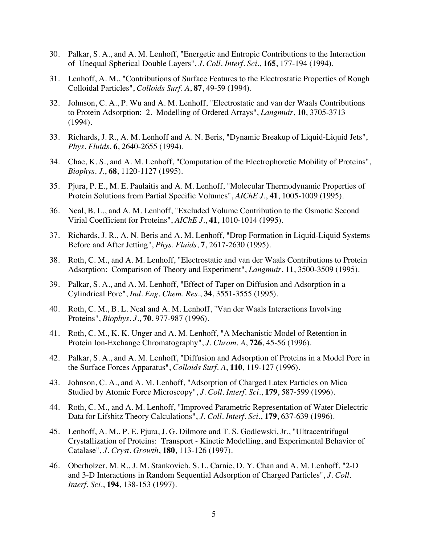- 30. Palkar, S. A., and A. M. Lenhoff, "Energetic and Entropic Contributions to the Interaction of Unequal Spherical Double Layers", *J. Coll. Interf. Sci*., **165**, 177-194 (1994).
- 31. Lenhoff, A. M., "Contributions of Surface Features to the Electrostatic Properties of Rough Colloidal Particles", *Colloids Surf. A*, **87**, 49-59 (1994).
- 32. Johnson, C. A., P. Wu and A. M. Lenhoff, "Electrostatic and van der Waals Contributions to Protein Adsorption: 2. Modelling of Ordered Arrays", *Langmuir*, **10**, 3705-3713 (1994).
- 33. Richards, J. R., A. M. Lenhoff and A. N. Beris, "Dynamic Breakup of Liquid-Liquid Jets", *Phys. Fluids*, **6**, 2640-2655 (1994).
- 34. Chae, K. S., and A. M. Lenhoff, "Computation of the Electrophoretic Mobility of Proteins", *Biophys. J.*, **68**, 1120-1127 (1995).
- 35. Pjura, P. E., M. E. Paulaitis and A. M. Lenhoff, "Molecular Thermodynamic Properties of Protein Solutions from Partial Specific Volumes", *AIChE J.*, **41**, 1005-1009 (1995).
- 36. Neal, B. L., and A. M. Lenhoff, "Excluded Volume Contribution to the Osmotic Second Virial Coefficient for Proteins", *AIChE J.*, **41**, 1010-1014 (1995).
- 37. Richards, J. R., A. N. Beris and A. M. Lenhoff, "Drop Formation in Liquid-Liquid Systems Before and After Jetting", *Phys. Fluids*, **7**, 2617-2630 (1995).
- 38. Roth, C. M., and A. M. Lenhoff, "Electrostatic and van der Waals Contributions to Protein Adsorption: Comparison of Theory and Experiment", *Langmuir*, **11**, 3500-3509 (1995).
- 39. Palkar, S. A., and A. M. Lenhoff, "Effect of Taper on Diffusion and Adsorption in a Cylindrical Pore", *Ind. Eng. Chem. Res.*, **34**, 3551-3555 (1995).
- 40. Roth, C. M., B. L. Neal and A. M. Lenhoff, "Van der Waals Interactions Involving Proteins", *Biophys. J.*, **70**, 977-987 (1996).
- 41. Roth, C. M., K. K. Unger and A. M. Lenhoff, "A Mechanistic Model of Retention in Protein Ion-Exchange Chromatography", *J. Chrom. A*, **726**, 45-56 (1996).
- 42. Palkar, S. A., and A. M. Lenhoff, "Diffusion and Adsorption of Proteins in a Model Pore in the Surface Forces Apparatus", *Colloids Surf. A*, **110**, 119-127 (1996).
- 43. Johnson, C. A., and A. M. Lenhoff, "Adsorption of Charged Latex Particles on Mica Studied by Atomic Force Microscopy", *J. Coll. Interf. Sci.*, **179**, 587-599 (1996).
- 44. Roth, C. M., and A. M. Lenhoff, "Improved Parametric Representation of Water Dielectric Data for Lifshitz Theory Calculations", *J. Coll. Interf. Sci.*, **179**, 637-639 (1996).
- 45. Lenhoff, A. M., P. E. Pjura, J. G. Dilmore and T. S. Godlewski, Jr., "Ultracentrifugal Crystallization of Proteins: Transport - Kinetic Modelling, and Experimental Behavior of Catalase", *J. Cryst. Growth*, **180**, 113-126 (1997).
- 46. Oberholzer, M. R., J. M. Stankovich, S. L. Carnie, D. Y. Chan and A. M. Lenhoff, "2-D and 3-D Interactions in Random Sequential Adsorption of Charged Particles", *J. Coll. Interf. Sci.*, **194**, 138-153 (1997).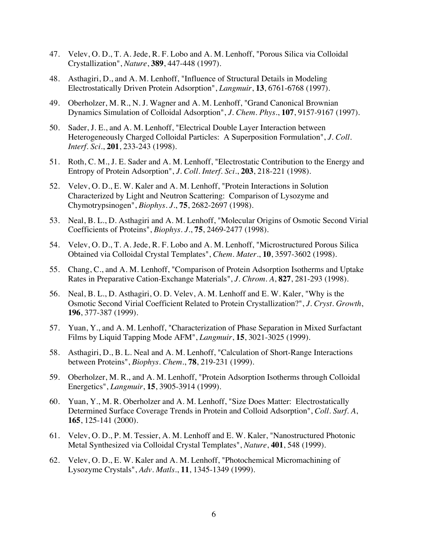- 47. Velev, O. D., T. A. Jede, R. F. Lobo and A. M. Lenhoff, "Porous Silica via Colloidal Crystallization", *Nature*, **389**, 447-448 (1997).
- 48. Asthagiri, D., and A. M. Lenhoff, "Influence of Structural Details in Modeling Electrostatically Driven Protein Adsorption", *Langmuir*, **13**, 6761-6768 (1997).
- 49. Oberholzer, M. R., N. J. Wagner and A. M. Lenhoff, "Grand Canonical Brownian Dynamics Simulation of Colloidal Adsorption", *J. Chem. Phys.*, **107**, 9157-9167 (1997).
- 50. Sader, J. E., and A. M. Lenhoff, "Electrical Double Layer Interaction between Heterogeneously Charged Colloidal Particles: A Superposition Formulation", *J. Coll. Interf. Sci.*, **201**, 233-243 (1998).
- 51. Roth, C. M., J. E. Sader and A. M. Lenhoff, "Electrostatic Contribution to the Energy and Entropy of Protein Adsorption", *J. Coll. Interf. Sci.*, **203**, 218-221 (1998).
- 52. Velev, O. D., E. W. Kaler and A. M. Lenhoff, "Protein Interactions in Solution Characterized by Light and Neutron Scattering: Comparison of Lysozyme and Chymotrypsinogen", *Biophys. J.*, **75**, 2682-2697 (1998).
- 53. Neal, B. L., D. Asthagiri and A. M. Lenhoff, "Molecular Origins of Osmotic Second Virial Coefficients of Proteins", *Biophys. J.*, **75**, 2469-2477 (1998).
- 54. Velev, O. D., T. A. Jede, R. F. Lobo and A. M. Lenhoff, "Microstructured Porous Silica Obtained via Colloidal Crystal Templates", *Chem. Mater.*, **10**, 3597-3602 (1998).
- 55. Chang, C., and A. M. Lenhoff, "Comparison of Protein Adsorption Isotherms and Uptake Rates in Preparative Cation-Exchange Materials", *J. Chrom. A*, **827**, 281-293 (1998).
- 56. Neal, B. L., D. Asthagiri, O. D. Velev, A. M. Lenhoff and E. W. Kaler, "Why is the Osmotic Second Virial Coefficient Related to Protein Crystallization?", *J. Cryst. Growth*, **196**, 377-387 (1999).
- 57. Yuan, Y., and A. M. Lenhoff, "Characterization of Phase Separation in Mixed Surfactant Films by Liquid Tapping Mode AFM", *Langmuir*, **15**, 3021-3025 (1999).
- 58. Asthagiri, D., B. L. Neal and A. M. Lenhoff, "Calculation of Short-Range Interactions between Proteins", *Biophys. Chem.*, **78**, 219-231 (1999).
- 59. Oberholzer, M. R., and A. M. Lenhoff, "Protein Adsorption Isotherms through Colloidal Energetics", *Langmuir*, **15**, 3905-3914 (1999).
- 60. Yuan, Y., M. R. Oberholzer and A. M. Lenhoff, "Size Does Matter: Electrostatically Determined Surface Coverage Trends in Protein and Colloid Adsorption", *Coll. Surf. A*, **165**, 125-141 (2000).
- 61. Velev, O. D., P. M. Tessier, A. M. Lenhoff and E. W. Kaler, "Nanostructured Photonic Metal Synthesized via Colloidal Crystal Templates", *Nature*, **401**, 548 (1999).
- 62. Velev, O. D., E. W. Kaler and A. M. Lenhoff, "Photochemical Micromachining of Lysozyme Crystals", *Adv. Matls.*, **11**, 1345-1349 (1999).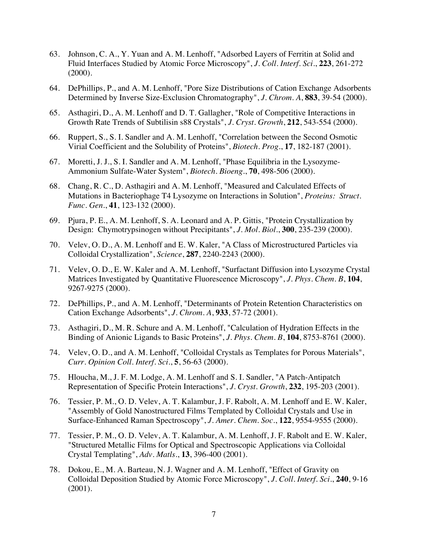- 63. Johnson, C. A., Y. Yuan and A. M. Lenhoff, "Adsorbed Layers of Ferritin at Solid and Fluid Interfaces Studied by Atomic Force Microscopy", *J. Coll. Interf. Sci.*, **223**, 261-272 (2000).
- 64. DePhillips, P., and A. M. Lenhoff, "Pore Size Distributions of Cation Exchange Adsorbents Determined by Inverse Size-Exclusion Chromatography", *J. Chrom. A*, **883**, 39-54 (2000).
- 65. Asthagiri, D., A. M. Lenhoff and D. T. Gallagher, "Role of Competitive Interactions in Growth Rate Trends of Subtilisin s88 Crystals", *J. Cryst. Growth*, **212**, 543-554 (2000).
- 66. Ruppert, S., S. I. Sandler and A. M. Lenhoff, "Correlation between the Second Osmotic Virial Coefficient and the Solubility of Proteins", *Biotech. Prog.*, **17**, 182-187 (2001).
- 67. Moretti, J. J., S. I. Sandler and A. M. Lenhoff, "Phase Equilibria in the Lysozyme-Ammonium Sulfate-Water System", *Biotech. Bioeng.*, **70**, 498-506 (2000).
- 68. Chang, R. C., D. Asthagiri and A. M. Lenhoff, "Measured and Calculated Effects of Mutations in Bacteriophage T4 Lysozyme on Interactions in Solution", *Proteins: Struct. Func. Gen.*, **41**, 123-132 (2000).
- 69. Pjura, P. E., A. M. Lenhoff, S. A. Leonard and A. P. Gittis, "Protein Crystallization by Design: Chymotrypsinogen without Precipitants", *J. Mol. Biol.*, **300**, 235-239 (2000).
- 70. Velev, O. D., A. M. Lenhoff and E. W. Kaler, "A Class of Microstructured Particles via Colloidal Crystallization", *Science*, **287**, 2240-2243 (2000).
- 71. Velev, O. D., E. W. Kaler and A. M. Lenhoff, "Surfactant Diffusion into Lysozyme Crystal Matrices Investigated by Quantitative Fluorescence Microscopy", *J. Phys. Chem. B*, **104**, 9267-9275 (2000).
- 72. DePhillips, P., and A. M. Lenhoff, "Determinants of Protein Retention Characteristics on Cation Exchange Adsorbents", *J. Chrom. A*, **933**, 57-72 (2001).
- 73. Asthagiri, D., M. R. Schure and A. M. Lenhoff, "Calculation of Hydration Effects in the Binding of Anionic Ligands to Basic Proteins", *J. Phys. Chem. B*, **104**, 8753-8761 (2000).
- 74. Velev, O. D., and A. M. Lenhoff, "Colloidal Crystals as Templates for Porous Materials", *Curr. Opinion Coll. Interf. Sci.*, **5**, 56-63 (2000).
- 75. Hloucha, M., J. F. M. Lodge, A. M. Lenhoff and S. I. Sandler, "A Patch-Antipatch Representation of Specific Protein Interactions", *J. Cryst. Growth*, **232**, 195-203 (2001).
- 76. Tessier, P. M., O. D. Velev, A. T. Kalambur, J. F. Rabolt, A. M. Lenhoff and E. W. Kaler, "Assembly of Gold Nanostructured Films Templated by Colloidal Crystals and Use in Surface-Enhanced Raman Spectroscopy", *J. Amer. Chem. Soc.*, **122**, 9554-9555 (2000).
- 77. Tessier, P. M., O. D. Velev, A. T. Kalambur, A. M. Lenhoff, J. F. Rabolt and E. W. Kaler, "Structured Metallic Films for Optical and Spectroscopic Applications via Colloidal Crystal Templating", *Adv. Matls.*, **13**, 396-400 (2001).
- 78. Dokou, E., M. A. Barteau, N. J. Wagner and A. M. Lenhoff, "Effect of Gravity on Colloidal Deposition Studied by Atomic Force Microscopy", *J. Coll. Interf. Sci.*, **240**, 9-16 (2001).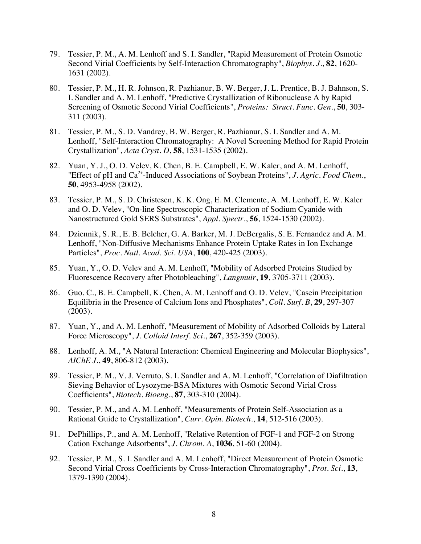- 79. Tessier, P. M., A. M. Lenhoff and S. I. Sandler, "Rapid Measurement of Protein Osmotic Second Virial Coefficients by Self-Interaction Chromatography", *Biophys. J.*, **82**, 1620- 1631 (2002).
- 80. Tessier, P. M., H. R. Johnson, R. Pazhianur, B. W. Berger, J. L. Prentice, B. J. Bahnson, S. I. Sandler and A. M. Lenhoff, "Predictive Crystallization of Ribonuclease A by Rapid Screening of Osmotic Second Virial Coefficients", *Proteins: Struct. Func. Gen.*, **50**, 303- 311 (2003).
- 81. Tessier, P. M., S. D. Vandrey, B. W. Berger, R. Pazhianur, S. I. Sandler and A. M. Lenhoff, "Self-Interaction Chromatography: A Novel Screening Method for Rapid Protein Crystallization", *Acta Cryst. D*, **58**, 1531-1535 (2002).
- 82. Yuan, Y. J., O. D. Velev, K. Chen, B. E. Campbell, E. W. Kaler, and A. M. Lenhoff, "Effect of pH and Ca2+-Induced Associations of Soybean Proteins", *J. Agric. Food Chem.*, **50**, 4953-4958 (2002).
- 83. Tessier, P. M., S. D. Christesen, K. K. Ong, E. M. Clemente, A. M. Lenhoff, E. W. Kaler and O. D. Velev, "On-line Spectroscopic Characterization of Sodium Cyanide with Nanostructured Gold SERS Substrates", *Appl. Spectr.*, **56**, 1524-1530 (2002).
- 84. Dziennik, S. R., E. B. Belcher, G. A. Barker, M. J. DeBergalis, S. E. Fernandez and A. M. Lenhoff, "Non-Diffusive Mechanisms Enhance Protein Uptake Rates in Ion Exchange Particles", *Proc. Natl. Acad. Sci. USA*, **100**, 420-425 (2003).
- 85. Yuan, Y., O. D. Velev and A. M. Lenhoff, "Mobility of Adsorbed Proteins Studied by Fluorescence Recovery after Photobleaching", *Langmuir*, **19**, 3705-3711 (2003).
- 86. Guo, C., B. E. Campbell, K. Chen, A. M. Lenhoff and O. D. Velev, "Casein Precipitation Equilibria in the Presence of Calcium Ions and Phosphates", *Coll. Surf. B*, **29**, 297-307 (2003).
- 87. Yuan, Y., and A. M. Lenhoff, "Measurement of Mobility of Adsorbed Colloids by Lateral Force Microscopy", *J. Colloid Interf. Sci.*, **267**, 352-359 (2003).
- 88. Lenhoff, A. M., "A Natural Interaction: Chemical Engineering and Molecular Biophysics", *AIChE J.*, **49**, 806-812 (2003).
- 89. Tessier, P. M., V. J. Verruto, S. I. Sandler and A. M. Lenhoff, "Correlation of Diafiltration Sieving Behavior of Lysozyme-BSA Mixtures with Osmotic Second Virial Cross Coefficients", *Biotech. Bioeng.*, **87**, 303-310 (2004).
- 90. Tessier, P. M., and A. M. Lenhoff, "Measurements of Protein Self-Association as a Rational Guide to Crystallization", *Curr. Opin. Biotech.*, **14**, 512-516 (2003).
- 91. DePhillips, P., and A. M. Lenhoff, "Relative Retention of FGF-1 and FGF-2 on Strong Cation Exchange Adsorbents", *J. Chrom. A*, **1036**, 51-60 (2004).
- 92. Tessier, P. M., S. I. Sandler and A. M. Lenhoff, "Direct Measurement of Protein Osmotic Second Virial Cross Coefficients by Cross-Interaction Chromatography", *Prot. Sci.*, **13**, 1379-1390 (2004).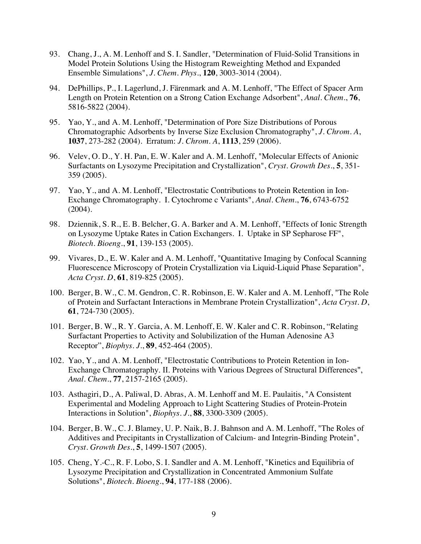- 93. Chang, J., A. M. Lenhoff and S. I. Sandler, "Determination of Fluid-Solid Transitions in Model Protein Solutions Using the Histogram Reweighting Method and Expanded Ensemble Simulations", *J. Chem. Phys.*, **120**, 3003-3014 (2004).
- 94. DePhillips, P., I. Lagerlund, J. Färenmark and A. M. Lenhoff, "The Effect of Spacer Arm Length on Protein Retention on a Strong Cation Exchange Adsorbent", *Anal. Chem.*, **76**, 5816-5822 (2004).
- 95. Yao, Y., and A. M. Lenhoff, "Determination of Pore Size Distributions of Porous Chromatographic Adsorbents by Inverse Size Exclusion Chromatography", *J. Chrom. A*, **1037**, 273-282 (2004). Erratum: *J. Chrom. A*, **1113**, 259 (2006).
- 96. Velev, O. D., Y. H. Pan, E. W. Kaler and A. M. Lenhoff, "Molecular Effects of Anionic Surfactants on Lysozyme Precipitation and Crystallization", *Cryst. Growth Des.*, **5**, 351- 359 (2005).
- 97. Yao, Y., and A. M. Lenhoff, "Electrostatic Contributions to Protein Retention in Ion-Exchange Chromatography. I. Cytochrome c Variants", *Anal. Chem.*, **76**, 6743-6752 (2004).
- 98. Dziennik, S. R., E. B. Belcher, G. A. Barker and A. M. Lenhoff, "Effects of Ionic Strength on Lysozyme Uptake Rates in Cation Exchangers. I. Uptake in SP Sepharose FF", *Biotech. Bioeng.*, **91**, 139-153 (2005).
- 99. Vivares, D., E. W. Kaler and A. M. Lenhoff, "Quantitative Imaging by Confocal Scanning Fluorescence Microscopy of Protein Crystallization via Liquid-Liquid Phase Separation", *Acta Cryst. D*, **61**, 819-825 (2005).
- 100. Berger, B. W., C. M. Gendron, C. R. Robinson, E. W. Kaler and A. M. Lenhoff, "The Role of Protein and Surfactant Interactions in Membrane Protein Crystallization", *Acta Cryst. D*, **61**, 724-730 (2005).
- 101. Berger, B. W., R. Y. Garcia, A. M. Lenhoff, E. W. Kaler and C. R. Robinson, "Relating Surfactant Properties to Activity and Solubilization of the Human Adenosine A3 Receptor", *Biophys. J.*, **89**, 452-464 (2005).
- 102. Yao, Y., and A. M. Lenhoff, "Electrostatic Contributions to Protein Retention in Ion-Exchange Chromatography. II. Proteins with Various Degrees of Structural Differences", *Anal. Chem.*, **77**, 2157-2165 (2005).
- 103. Asthagiri, D., A. Paliwal, D. Abras, A. M. Lenhoff and M. E. Paulaitis, "A Consistent Experimental and Modeling Approach to Light Scattering Studies of Protein-Protein Interactions in Solution", *Biophys. J.*, **88**, 3300-3309 (2005).
- 104. Berger, B. W., C. J. Blamey, U. P. Naik, B. J. Bahnson and A. M. Lenhoff, "The Roles of Additives and Precipitants in Crystallization of Calcium- and Integrin-Binding Protein", *Cryst. Growth Des.*, **5**, 1499-1507 (2005).
- 105. Cheng, Y.-C., R. F. Lobo, S. I. Sandler and A. M. Lenhoff, "Kinetics and Equilibria of Lysozyme Precipitation and Crystallization in Concentrated Ammonium Sulfate Solutions", *Biotech. Bioeng.*, **94**, 177-188 (2006).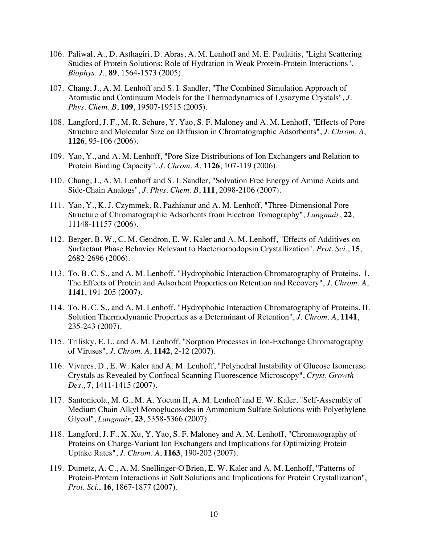- 106. Paliwal, A., D. Asthagiri, D. Abras, A. M. Lenhoff and M. E. Paulaitis, "Light Scattering Studies of Protein Solutions: Role of Hydration in Weak Protein-Protein Interactions", *Biophys. J.*, **89**, 1564-1573 (2005).
- 107. Chang, J., A. M. Lenhoff and S. I. Sandler, "The Combined Simulation Approach of Atomistic and Continuum Models for the Thermodynamics of Lysozyme Crystals", *J. Phys. Chem. B*, **109**, 19507-19515 (2005).
- 108. Langford, J. F., M. R. Schure, Y. Yao, S. F. Maloney and A. M. Lenhoff, "Effects of Pore Structure and Molecular Size on Diffusion in Chromatographic Adsorbents", *J. Chrom. A*, **1126**, 95-106 (2006).
- 109. Yao, Y., and A. M. Lenhoff, "Pore Size Distributions of Ion Exchangers and Relation to Protein Binding Capacity", *J. Chrom. A*, **1126**, 107-119 (2006).
- 110. Chang, J., A. M. Lenhoff and S. I. Sandler, "Solvation Free Energy of Amino Acids and Side-Chain Analogs", *J. Phys. Chem. B*, **111**, 2098-2106 (2007).
- 111. Yao, Y., K. J. Czymmek, R. Pazhianur and A. M. Lenhoff, "Three-Dimensional Pore Structure of Chromatographic Adsorbents from Electron Tomography", *Langmuir*, **22**, 11148-11157 (2006).
- 112. Berger, B. W., C. M. Gendron, E. W. Kaler and A. M. Lenhoff, "Effects of Additives on Surfactant Phase Behavior Relevant to Bacteriorhodopsin Crystallization", *Prot. Sci.*, **15**, 2682-2696 (2006).
- 113. To, B. C. S., and A. M. Lenhoff, "Hydrophobic Interaction Chromatography of Proteins. I. The Effects of Protein and Adsorbent Properties on Retention and Recovery", *J. Chrom. A*, **1141**, 191-205 (2007).
- 114. To, B. C. S., and A. M. Lenhoff, "Hydrophobic Interaction Chromatography of Proteins. II. Solution Thermodynamic Properties as a Determinant of Retention", *J. Chrom. A*, **1141**, 235-243 (2007).
- 115. Trilisky, E. I., and A. M. Lenhoff, "Sorption Processes in Ion-Exchange Chromatography of Viruses", *J. Chrom. A*, **1142**, 2-12 (2007).
- 116. Vivares, D., E. W. Kaler and A. M. Lenhoff, "Polyhedral Instability of Glucose Isomerase Crystals as Revealed by Confocal Scanning Fluorescence Microscopy", *Cryst. Growth Des.*, **7**, 1411-1415 (2007).
- 117. Santonicola, M. G., M. A. Yocum II, A. M. Lenhoff and E. W. Kaler, "Self-Assembly of Medium Chain Alkyl Monoglucosides in Ammonium Sulfate Solutions with Polyethylene Glycol", *Langmuir*, **23**, 5358-5366 (2007).
- 118. Langford, J. F., X. Xu, Y. Yao, S. F. Maloney and A. M. Lenhoff, "Chromatography of Proteins on Charge-Variant Ion Exchangers and Implications for Optimizing Protein Uptake Rates", *J. Chrom. A*, **1163**, 190-202 (2007).
- 119. Dumetz, A. C., A. M. Snellinger-O'Brien, E. W. Kaler and A. M. Lenhoff, "Patterns of Protein-Protein Interactions in Salt Solutions and Implications for Protein Crystallization", *Prot. Sci.*, **16**, 1867-1877 (2007).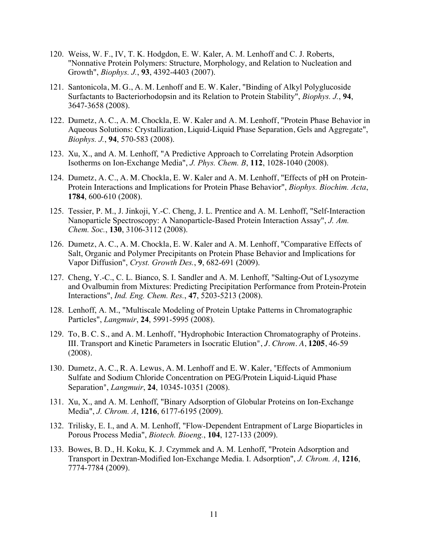- 120. Weiss, W. F., IV, T. K. Hodgdon, E. W. Kaler, A. M. Lenhoff and C. J. Roberts, "Nonnative Protein Polymers: Structure, Morphology, and Relation to Nucleation and Growth", *Biophys. J.*, **93**, 4392-4403 (2007).
- 121. Santonicola, M. G., A. M. Lenhoff and E. W. Kaler, "Binding of Alkyl Polyglucoside Surfactants to Bacteriorhodopsin and its Relation to Protein Stability", *Biophys. J.*, **94**, 3647-3658 (2008).
- 122. Dumetz, A. C., A. M. Chockla, E. W. Kaler and A. M. Lenhoff, "Protein Phase Behavior in Aqueous Solutions: Crystallization, Liquid-Liquid Phase Separation, Gels and Aggregate", *Biophys. J.*, **94**, 570-583 (2008).
- 123. Xu, X., and A. M. Lenhoff, "A Predictive Approach to Correlating Protein Adsorption Isotherms on Ion-Exchange Media", *J. Phys. Chem. B*, **112**, 1028-1040 (2008).
- 124. Dumetz, A. C., A. M. Chockla, E. W. Kaler and A. M. Lenhoff, "Effects of pH on Protein-Protein Interactions and Implications for Protein Phase Behavior", *Biophys. Biochim. Acta*, **1784**, 600-610 (2008).
- 125. Tessier, P. M., J. Jinkoji, Y.-C. Cheng, J. L. Prentice and A. M. Lenhoff, "Self-Interaction Nanoparticle Spectroscopy: A Nanoparticle-Based Protein Interaction Assay", *J. Am. Chem. Soc.*, **130**, 3106-3112 (2008).
- 126. Dumetz, A. C., A. M. Chockla, E. W. Kaler and A. M. Lenhoff, "Comparative Effects of Salt, Organic and Polymer Precipitants on Protein Phase Behavior and Implications for Vapor Diffusion", *Cryst. Growth Des.*, **9**, 682-691 (2009).
- 127. Cheng, Y.-C., C. L. Bianco, S. I. Sandler and A. M. Lenhoff, "Salting-Out of Lysozyme and Ovalbumin from Mixtures: Predicting Precipitation Performance from Protein-Protein Interactions", *Ind. Eng. Chem. Res.*, **47**, 5203-5213 (2008).
- 128. Lenhoff, A. M., "Multiscale Modeling of Protein Uptake Patterns in Chromatographic Particles", *Langmuir*, **24**, 5991-5995 (2008).
- 129. To, B. C. S., and A. M. Lenhoff, "Hydrophobic Interaction Chromatography of Proteins. III. Transport and Kinetic Parameters in Isocratic Elution", *J. Chrom. A*, **1205**, 46-59 (2008).
- 130. Dumetz, A. C., R. A. Lewus, A. M. Lenhoff and E. W. Kaler, "Effects of Ammonium Sulfate and Sodium Chloride Concentration on PEG/Protein Liquid-Liquid Phase Separation", *Langmuir*, **24**, 10345-10351 (2008).
- 131. Xu, X., and A. M. Lenhoff, "Binary Adsorption of Globular Proteins on Ion-Exchange Media", *J. Chrom. A*, **1216**, 6177-6195 (2009).
- 132. Trilisky, E. I., and A. M. Lenhoff, "Flow-Dependent Entrapment of Large Bioparticles in Porous Process Media", *Biotech. Bioeng.*, **104**, 127-133 (2009).
- 133. Bowes, B. D., H. Koku, K. J. Czymmek and A. M. Lenhoff, "Protein Adsorption and Transport in Dextran-Modified Ion-Exchange Media. I. Adsorption", *J. Chrom. A*, **1216**, 7774-7784 (2009).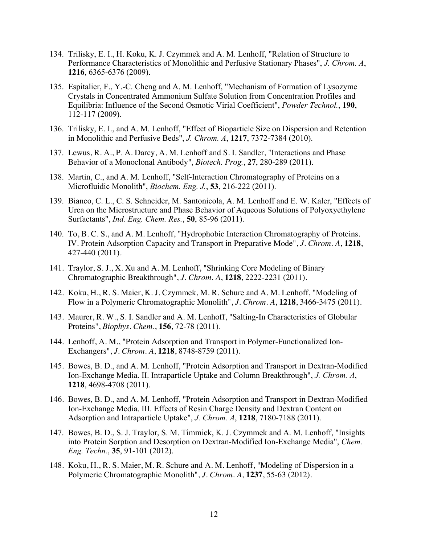- 134. Trilisky, E. I., H. Koku, K. J. Czymmek and A. M. Lenhoff, "Relation of Structure to Performance Characteristics of Monolithic and Perfusive Stationary Phases", *J. Chrom. A*, **1216**, 6365-6376 (2009).
- 135. Espitalier, F., Y.-C. Cheng and A. M. Lenhoff, "Mechanism of Formation of Lysozyme Crystals in Concentrated Ammonium Sulfate Solution from Concentration Profiles and Equilibria: Influence of the Second Osmotic Virial Coefficient", *Powder Technol.*, **190**, 112-117 (2009).
- 136. Trilisky, E. I., and A. M. Lenhoff, "Effect of Bioparticle Size on Dispersion and Retention in Monolithic and Perfusive Beds", *J. Chrom. A*, **1217**, 7372-7384 (2010).
- 137. Lewus, R. A., P. A. Darcy, A. M. Lenhoff and S. I. Sandler, "Interactions and Phase Behavior of a Monoclonal Antibody", *Biotech. Prog.*, **27**, 280-289 (2011).
- 138. Martin, C., and A. M. Lenhoff, "Self-Interaction Chromatography of Proteins on a Microfluidic Monolith", *Biochem. Eng. J.*, **53**, 216-222 (2011).
- 139. Bianco, C. L., C. S. Schneider, M. Santonicola, A. M. Lenhoff and E. W. Kaler, "Effects of Urea on the Microstructure and Phase Behavior of Aqueous Solutions of Polyoxyethylene Surfactants", *Ind. Eng. Chem. Res.*, **50**, 85-96 (2011).
- 140. To, B. C. S., and A. M. Lenhoff, "Hydrophobic Interaction Chromatography of Proteins. IV. Protein Adsorption Capacity and Transport in Preparative Mode", *J. Chrom. A*, **1218**, 427-440 (2011).
- 141. Traylor, S. J., X. Xu and A. M. Lenhoff, "Shrinking Core Modeling of Binary Chromatographic Breakthrough", *J. Chrom. A*, **1218**, 2222-2231 (2011).
- 142. Koku, H., R. S. Maier, K. J. Czymmek, M. R. Schure and A. M. Lenhoff, "Modeling of Flow in a Polymeric Chromatographic Monolith", *J. Chrom. A*, **1218**, 3466-3475 (2011).
- 143. Maurer, R. W., S. I. Sandler and A. M. Lenhoff, "Salting-In Characteristics of Globular Proteins", *Biophys. Chem.*, **156**, 72-78 (2011).
- 144. Lenhoff, A. M., "Protein Adsorption and Transport in Polymer-Functionalized Ion-Exchangers", *J. Chrom. A*, **1218**, 8748-8759 (2011).
- 145. Bowes, B. D., and A. M. Lenhoff, "Protein Adsorption and Transport in Dextran-Modified Ion-Exchange Media. II. Intraparticle Uptake and Column Breakthrough", *J. Chrom. A*, **1218**, 4698-4708 (2011).
- 146. Bowes, B. D., and A. M. Lenhoff, "Protein Adsorption and Transport in Dextran-Modified Ion-Exchange Media. III. Effects of Resin Charge Density and Dextran Content on Adsorption and Intraparticle Uptake", *J. Chrom. A*, **1218**, 7180-7188 (2011).
- 147. Bowes, B. D., S. J. Traylor, S. M. Timmick, K. J. Czymmek and A. M. Lenhoff, "Insights into Protein Sorption and Desorption on Dextran-Modified Ion-Exchange Media", *Chem. Eng. Techn.*, **35**, 91-101 (2012).
- 148. Koku, H., R. S. Maier, M. R. Schure and A. M. Lenhoff, "Modeling of Dispersion in a Polymeric Chromatographic Monolith", *J. Chrom. A*, **1237**, 55-63 (2012).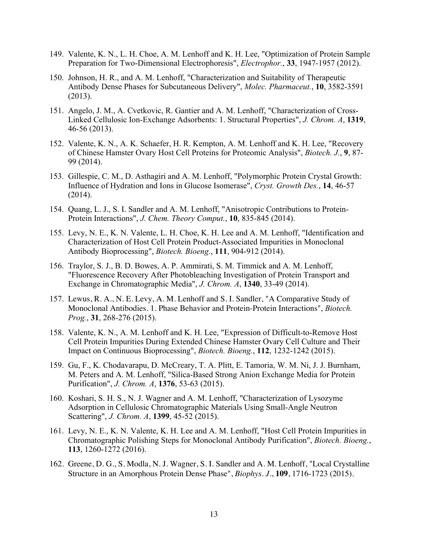- 149. Valente, K. N., L. H. Choe, A. M. Lenhoff and K. H. Lee, "Optimization of Protein Sample Preparation for Two-Dimensional Electrophoresis", *Electrophor.*, **33**, 1947-1957 (2012).
- 150. Johnson, H. R., and A. M. Lenhoff, "Characterization and Suitability of Therapeutic Antibody Dense Phases for Subcutaneous Delivery", *Molec. Pharmaceut.*, **10**, 3582-3591 (2013).
- 151. Angelo, J. M., A. Cvetkovic, R. Gantier and A. M. Lenhoff, "Characterization of Cross-Linked Cellulosic Ion-Exchange Adsorbents: 1. Structural Properties", *J. Chrom. A*, **1319**, 46-56 (2013).
- 152. Valente, K. N., A. K. Schaefer, H. R. Kempton, A. M. Lenhoff and K. H. Lee, "Recovery of Chinese Hamster Ovary Host Cell Proteins for Proteomic Analysis", *Biotech. J.*, **9**, 87- 99 (2014).
- 153. Gillespie, C. M., D. Asthagiri and A. M. Lenhoff, "Polymorphic Protein Crystal Growth: Influence of Hydration and Ions in Glucose Isomerase", *Cryst. Growth Des.*, **14**, 46-57 (2014).
- 154. Quang, L. J., S. I. Sandler and A. M. Lenhoff, "Anisotropic Contributions to Protein-Protein Interactions", *J. Chem. Theory Comput.*, **10**, 835-845 (2014).
- 155. Levy, N. E., K. N. Valente, L. H. Choe, K. H. Lee and A. M. Lenhoff, "Identification and Characterization of Host Cell Protein Product-Associated Impurities in Monoclonal Antibody Bioprocessing", *Biotech. Bioeng.*, **111**, 904-912 (2014).
- 156. Traylor, S. J., B. D. Bowes, A. P. Ammirati, S. M. Timmick and A. M. Lenhoff, "Fluorescence Recovery After Photobleaching Investigation of Protein Transport and Exchange in Chromatographic Media", *J. Chrom. A*, **1340**, 33-49 (2014).
- 157. Lewus, R. A., N. E. Levy, A. M. Lenhoff and S. I. Sandler, "A Comparative Study of Monoclonal Antibodies. 1. Phase Behavior and Protein-Protein Interactions", *Biotech. Prog.*, **31**, 268-276 (2015).
- 158. Valente, K. N., A. M. Lenhoff and K. H. Lee, "Expression of Difficult-to-Remove Host Cell Protein Impurities During Extended Chinese Hamster Ovary Cell Culture and Their Impact on Continuous Bioprocessing", *Biotech. Bioeng.*, **112**, 1232-1242 (2015).
- 159. Gu, F., K. Chodavarapu, D. McCreary, T. A. Plitt, E. Tamoria, W. M. Ni, J. J. Burnham, M. Peters and A. M. Lenhoff, "Silica-Based Strong Anion Exchange Media for Protein Purification", *J. Chrom. A*, **1376**, 53-63 (2015).
- 160. Koshari, S. H. S., N. J. Wagner and A. M. Lenhoff, "Characterization of Lysozyme Adsorption in Cellulosic Chromatographic Materials Using Small-Angle Neutron Scattering", *J. Chrom. A*, **1399**, 45-52 (2015).
- 161. Levy, N. E., K. N. Valente, K. H. Lee and A. M. Lenhoff, "Host Cell Protein Impurities in Chromatographic Polishing Steps for Monoclonal Antibody Purification", *Biotech. Bioeng.*, **113**, 1260-1272 (2016).
- 162. Greene, D. G., S. Modla, N. J. Wagner, S. I. Sandler and A. M. Lenhoff, "Local Crystalline Structure in an Amorphous Protein Dense Phase", *Biophys. J.*, **109**, 1716-1723 (2015).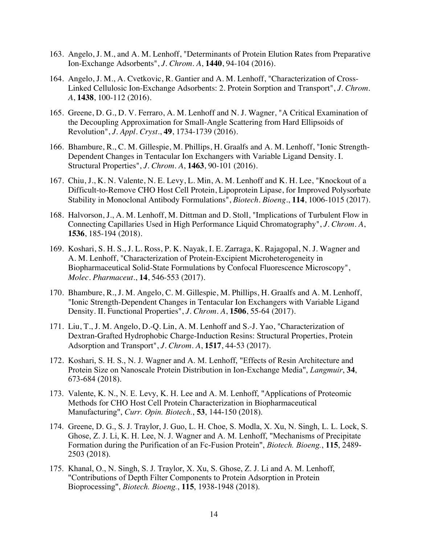- 163. Angelo, J. M., and A. M. Lenhoff, "Determinants of Protein Elution Rates from Preparative Ion-Exchange Adsorbents", *J. Chrom. A*, **1440**, 94-104 (2016).
- 164. Angelo, J. M., A. Cvetkovic, R. Gantier and A. M. Lenhoff, "Characterization of Cross-Linked Cellulosic Ion-Exchange Adsorbents: 2. Protein Sorption and Transport", *J. Chrom. A*, **1438**, 100-112 (2016).
- 165. Greene, D. G., D. V. Ferraro, A. M. Lenhoff and N. J. Wagner, "A Critical Examination of the Decoupling Approximation for Small-Angle Scattering from Hard Ellipsoids of Revolution", *J. Appl. Cryst.*, **49**, 1734-1739 (2016).
- 166. Bhambure, R., C. M. Gillespie, M. Phillips, H. Graalfs and A. M. Lenhoff, "Ionic Strength-Dependent Changes in Tentacular Ion Exchangers with Variable Ligand Density. I. Structural Properties", *J. Chrom. A*, **1463**, 90-101 (2016).
- 167. Chiu, J., K. N. Valente, N. E. Levy, L. Min, A. M. Lenhoff and K. H. Lee, "Knockout of a Difficult-to-Remove CHO Host Cell Protein, Lipoprotein Lipase, for Improved Polysorbate Stability in Monoclonal Antibody Formulations", *Biotech. Bioeng.*, **114**, 1006-1015 (2017).
- 168. Halvorson, J., A. M. Lenhoff, M. Dittman and D. Stoll, "Implications of Turbulent Flow in Connecting Capillaries Used in High Performance Liquid Chromatography", *J. Chrom. A*, **1536**, 185-194 (2018).
- 169. Koshari, S. H. S., J. L. Ross, P. K. Nayak, I. E. Zarraga, K. Rajagopal, N. J. Wagner and A. M. Lenhoff, "Characterization of Protein-Excipient Microheterogeneity in Biopharmaceutical Solid-State Formulations by Confocal Fluorescence Microscopy", *Molec. Pharmaceut.*, **14**, 546-553 (2017).
- 170. Bhambure, R., J. M. Angelo, C. M. Gillespie, M. Phillips, H. Graalfs and A. M. Lenhoff, "Ionic Strength-Dependent Changes in Tentacular Ion Exchangers with Variable Ligand Density. II. Functional Properties", *J. Chrom. A*, **1506**, 55-64 (2017).
- 171. Liu, T., J. M. Angelo, D.-Q. Lin, A. M. Lenhoff and S.-J. Yao, "Characterization of Dextran-Grafted Hydrophobic Charge-Induction Resins: Structural Properties, Protein Adsorption and Transport", *J. Chrom. A*, **1517**, 44-53 (2017).
- 172. Koshari, S. H. S., N. J. Wagner and A. M. Lenhoff, "Effects of Resin Architecture and Protein Size on Nanoscale Protein Distribution in Ion-Exchange Media", *Langmuir*, **34**, 673-684 (2018).
- 173. Valente, K. N., N. E. Levy, K. H. Lee and A. M. Lenhoff, "Applications of Proteomic Methods for CHO Host Cell Protein Characterization in Biopharmaceutical Manufacturing", *Curr. Opin. Biotech.*, **53**, 144-150 (2018).
- 174. Greene, D. G., S. J. Traylor, J. Guo, L. H. Choe, S. Modla, X. Xu, N. Singh, L. L. Lock, S. Ghose, Z. J. Li, K. H. Lee, N. J. Wagner and A. M. Lenhoff, "Mechanisms of Precipitate Formation during the Purification of an Fc-Fusion Protein", *Biotech. Bioeng.*, **115**, 2489- 2503 (2018).
- 175. Khanal, O., N. Singh, S. J. Traylor, X. Xu, S. Ghose, Z. J. Li and A. M. Lenhoff, "Contributions of Depth Filter Components to Protein Adsorption in Protein Bioprocessing", *Biotech. Bioeng.*, **115**, 1938-1948 (2018).